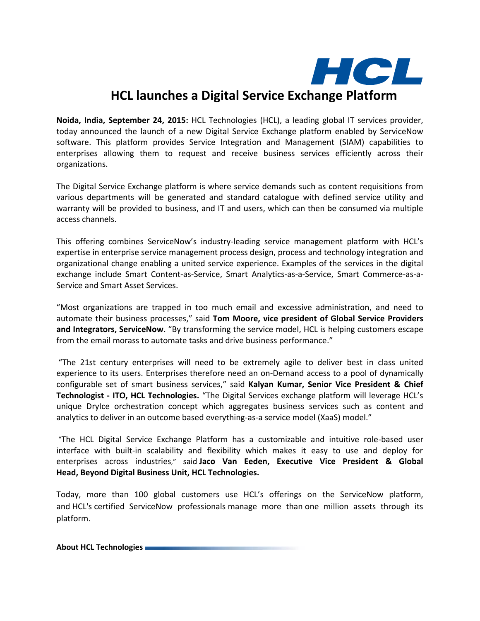

## **HCL launches a Digital Service Exchange Platform**

**Noida, India, September 24, 2015:** HCL Technologies (HCL), a leading global IT services provider, today announced the launch of a new Digital Service Exchange platform enabled by ServiceNow software. This platform provides Service Integration and Management (SIAM) capabilities to enterprises allowing them to request and receive business services efficiently across their organizations.

The Digital Service Exchange platform is where service demands such as content requisitions from various departments will be generated and standard catalogue with defined service utility and warranty will be provided to business, and IT and users, which can then be consumed via multiple access channels.

This offering combines ServiceNow's industry-leading service management platform with HCL's expertise in enterprise service management process design, process and technology integration and organizational change enabling a united service experience. Examples of the services in the digital exchange include Smart Content-as-Service, Smart Analytics-as-a-Service, Smart Commerce-as-a-Service and Smart Asset Services.

"Most organizations are trapped in too much email and excessive administration, and need to automate their business processes," said **Tom Moore, vice president of Global Service Providers and Integrators, ServiceNow**. "By transforming the service model, HCL is helping customers escape from the email morass to automate tasks and drive business performance."

"The 21st century enterprises will need to be extremely agile to deliver best in class united experience to its users. Enterprises therefore need an on-Demand access to a pool of dynamically configurable set of smart business services," said **Kalyan Kumar, Senior Vice President & Chief Technologist - ITO, HCL Technologies.** "The Digital Services exchange platform will leverage HCL's unique DryIce orchestration concept which aggregates business services such as content and analytics to deliver in an outcome based everything-as-a service model (XaaS) model."

"The HCL Digital Service Exchange Platform has a customizable and intuitive role-based user interface with built-in scalability and flexibility which makes it easy to use and deploy for enterprises across industries," said **Jaco Van Eeden, Executive Vice President & Global Head, Beyond Digital Business Unit, HCL Technologies.**

Today, more than 100 global customers use HCL's offerings on the ServiceNow platform, and HCL's certified ServiceNow professionals manage more than one million assets through its platform.

**About HCL Technologies**